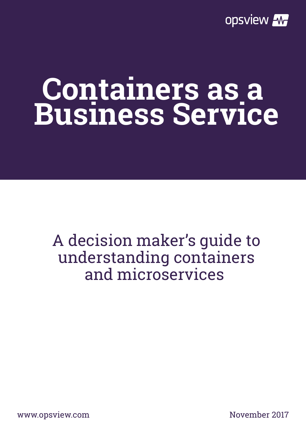

# **Containers as a Business Service**

#### A decision maker's guide to understanding containers and microservices

www.opsview.com November 2017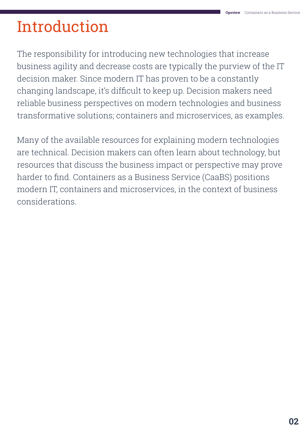# Introduction

The responsibility for introducing new technologies that increase business agility and decrease costs are typically the purview of the IT decision maker. Since modern IT has proven to be a constantly changing landscape, it's difficult to keep up. Decision makers need reliable business perspectives on modern technologies and business transformative solutions; containers and microservices, as examples.

Many of the available resources for explaining modern technologies are technical. Decision makers can often learn about technology, but resources that discuss the business impact or perspective may prove harder to find. Containers as a Business Service (CaaBS) positions modern IT, containers and microservices, in the context of business considerations.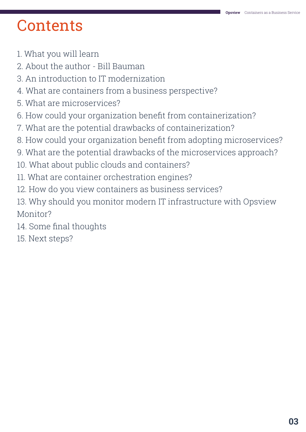### **Contents**

- 1. What you will learn
- 2. About the author Bill Bauman
- 3. An introduction to IT modernization
- 4. What are containers from a business perspective?
- 5. What are microservices?
- 6. How could your organization benefit from containerization?
- 7. What are the potential drawbacks of containerization?
- 8. How could your organization benefit from adopting microservices?
- 9. What are the potential drawbacks of the microservices approach?
- 10. What about public clouds and containers?
- 11. What are container orchestration engines?
- 12. How do you view containers as business services?
- 13. Why should you monitor modern IT infrastructure with Opsview Monitor?
- 14. Some final thoughts
- 15. Next steps?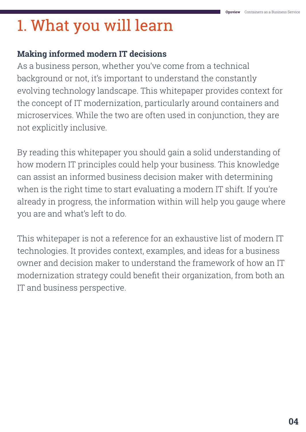### 1. What you will learn

#### **Making informed modern IT decisions**

As a business person, whether you've come from a technical background or not, it's important to understand the constantly evolving technology landscape. This whitepaper provides context for the concept of IT modernization, particularly around containers and microservices. While the two are often used in conjunction, they are not explicitly inclusive.

By reading this whitepaper you should gain a solid understanding of how modern IT principles could help your business. This knowledge can assist an informed business decision maker with determining when is the right time to start evaluating a modern IT shift. If you're already in progress, the information within will help you gauge where you are and what's left to do.

This whitepaper is not a reference for an exhaustive list of modern IT technologies. It provides context, examples, and ideas for a business owner and decision maker to understand the framework of how an IT modernization strategy could benefit their organization, from both an IT and business perspective.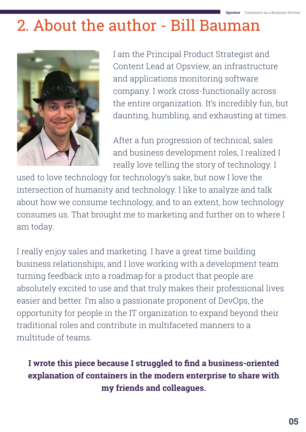### 2. About the author - Bill Bauman



I am the Principal Product Strategist and Content Lead at Opsview, an infrastructure and applications monitoring software company. I work cross-functionally across the entire organization. It's incredibly fun, but daunting, humbling, and exhausting at times.

After a fun progression of technical, sales and business development roles, I realized I really love telling the story of technology. I

used to love technology for technology's sake, but now I love the intersection of humanity and technology. I like to analyze and talk about how we consume technology, and to an extent, how technology consumes us. That brought me to marketing and further on to where I am today.

I really enjoy sales and marketing. I have a great time building business relationships, and I love working with a development team turning feedback into a roadmap for a product that people are absolutely excited to use and that truly makes their professional lives easier and better. I'm also a passionate proponent of DevOps, the opportunity for people in the IT organization to expand beyond their traditional roles and contribute in multifaceted manners to a multitude of teams.

#### **I wrote this piece because I struggled to find a business-oriented explanation of containers in the modern enterprise to share with my friends and colleagues.**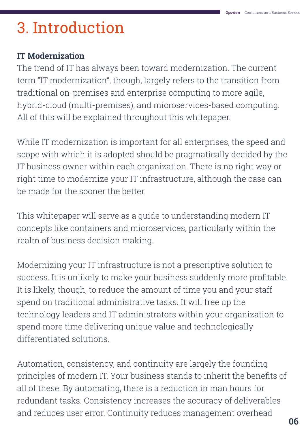# 3. Introduction

#### **IT Modernization**

The trend of IT has always been toward modernization. The current term "IT modernization", though, largely refers to the transition from traditional on-premises and enterprise computing to more agile, hybrid-cloud (multi-premises), and microservices-based computing. All of this will be explained throughout this whitepaper.

While IT modernization is important for all enterprises, the speed and scope with which it is adopted should be pragmatically decided by the IT business owner within each organization. There is no right way or right time to modernize your IT infrastructure, although the case can be made for the sooner the better.

This whitepaper will serve as a guide to understanding modern IT concepts like containers and microservices, particularly within the realm of business decision making.

Modernizing your IT infrastructure is not a prescriptive solution to success. It is unlikely to make your business suddenly more profitable. It is likely, though, to reduce the amount of time you and your staff spend on traditional administrative tasks. It will free up the technology leaders and IT administrators within your organization to spend more time delivering unique value and technologically differentiated solutions.

Automation, consistency, and continuity are largely the founding principles of modern IT. Your business stands to inherit the benefits of all of these. By automating, there is a reduction in man hours for redundant tasks. Consistency increases the accuracy of deliverables and reduces user error. Continuity reduces management overhead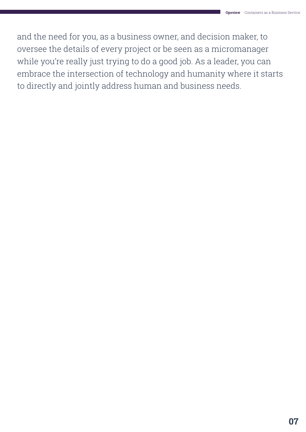and the need for you, as a business owner, and decision maker, to oversee the details of every project or be seen as a micromanager while you're really just trying to do a good job. As a leader, you can embrace the intersection of technology and humanity where it starts to directly and jointly address human and business needs.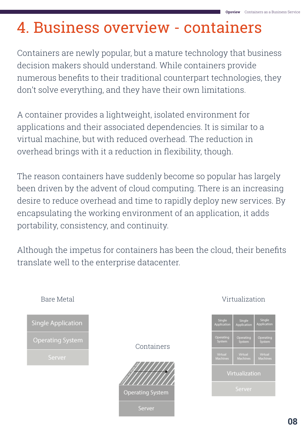### 4. Business overview - containers

Containers are newly popular, but a mature technology that business decision makers should understand. While containers provide numerous benefits to their traditional counterpart technologies, they don't solve everything, and they have their own limitations.

A container provides a lightweight, isolated environment for applications and their associated dependencies. It is similar to a virtual machine, but with reduced overhead. The reduction in overhead brings with it a reduction in flexibility, though.

The reason containers have suddenly become so popular has largely been driven by the advent of cloud computing. There is an increasing desire to reduce overhead and time to rapidly deploy new services. By encapsulating the working environment of an application, it adds portability, consistency, and continuity.

Although the impetus for containers has been the cloud, their benefits translate well to the enterprise datacenter.



#### Virtualization

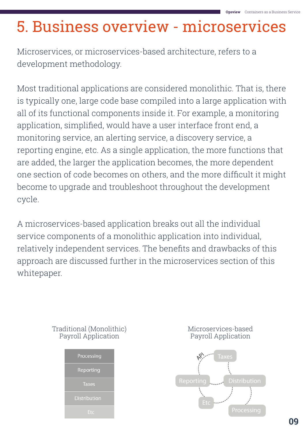### 5. Business overview - microservices

Microservices, or microservices-based architecture, refers to a development methodology.

Most traditional applications are considered monolithic. That is, there is typically one, large code base compiled into a large application with all of its functional components inside it. For example, a monitoring application, simplified, would have a user interface front end, a monitoring service, an alerting service, a discovery service, a reporting engine, etc. As a single application, the more functions that are added, the larger the application becomes, the more dependent one section of code becomes on others, and the more difficult it might become to upgrade and troubleshoot throughout the development cycle.

A microservices-based application breaks out all the individual service components of a monolithic application into individual, relatively independent services. The benefits and drawbacks of this approach are discussed further in the microservices section of this whitepaper.



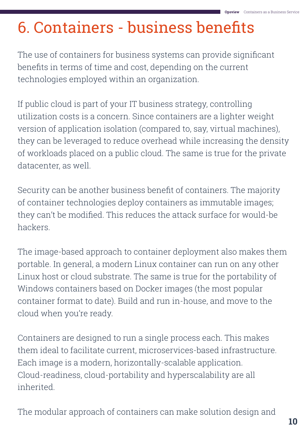## 6. Containers - business benefits

The use of containers for business systems can provide significant benefits in terms of time and cost, depending on the current technologies employed within an organization.

If public cloud is part of your IT business strategy, controlling utilization costs is a concern. Since containers are a lighter weight version of application isolation (compared to, say, virtual machines), they can be leveraged to reduce overhead while increasing the density of workloads placed on a public cloud. The same is true for the private datacenter, as well.

Security can be another business benefit of containers. The majority of container technologies deploy containers as immutable images; they can't be modified. This reduces the attack surface for would-be hackers.

The image-based approach to container deployment also makes them portable. In general, a modern Linux container can run on any other Linux host or cloud substrate. The same is true for the portability of Windows containers based on Docker images (the most popular container format to date). Build and run in-house, and move to the cloud when you're ready.

Containers are designed to run a single process each. This makes them ideal to facilitate current, microservices-based infrastructure. Each image is a modern, horizontally-scalable application. Cloud-readiness, cloud-portability and hyperscalability are all inherited.

The modular approach of containers can make solution design and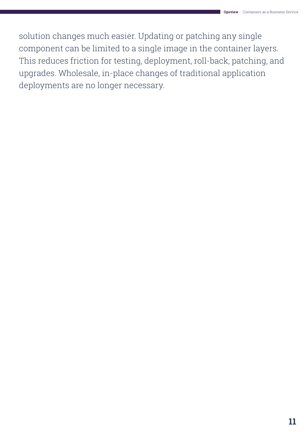solution changes much easier. Updating or patching any single component can be limited to a single image in the container layers. This reduces friction for testing, deployment, roll-back, patching, and upgrades. Wholesale, in-place changes of traditional application deployments are no longer necessary.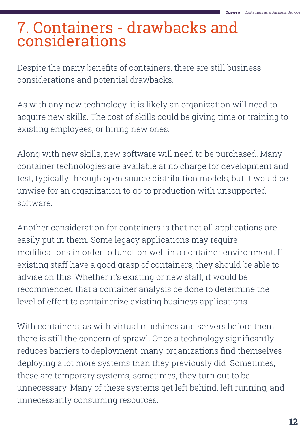#### 7. Containers - drawbacks and considerations

Despite the many benefits of containers, there are still business considerations and potential drawbacks.

As with any new technology, it is likely an organization will need to acquire new skills. The cost of skills could be giving time or training to existing employees, or hiring new ones.

Along with new skills, new software will need to be purchased. Many container technologies are available at no charge for development and test, typically through open source distribution models, but it would be unwise for an organization to go to production with unsupported software.

Another consideration for containers is that not all applications are easily put in them. Some legacy applications may require modifications in order to function well in a container environment. If existing staff have a good grasp of containers, they should be able to advise on this. Whether it's existing or new staff, it would be recommended that a container analysis be done to determine the level of effort to containerize existing business applications.

With containers, as with virtual machines and servers before them, there is still the concern of sprawl. Once a technology significantly reduces barriers to deployment, many organizations find themselves deploying a lot more systems than they previously did. Sometimes, these are temporary systems, sometimes, they turn out to be unnecessary. Many of these systems get left behind, left running, and unnecessarily consuming resources.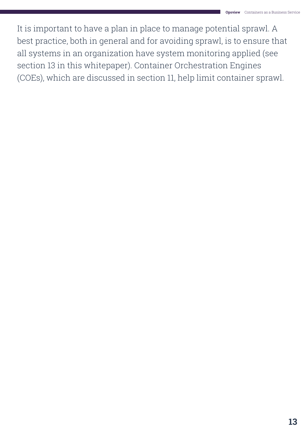It is important to have a plan in place to manage potential sprawl. A best practice, both in general and for avoiding sprawl, is to ensure that all systems in an organization have system monitoring applied (see section 13 in this whitepaper). Container Orchestration Engines (COEs), which are discussed in section 11, help limit container sprawl.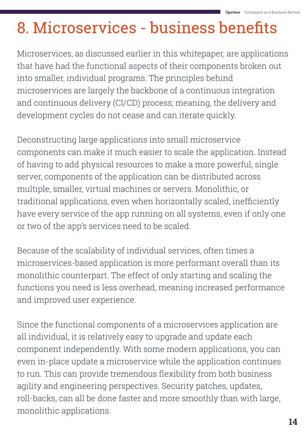### 8. Microservices - business benefits

Microservices, as discussed earlier in this whitepaper, are applications that have had the functional aspects of their components broken out into smaller, individual programs. The principles behind microservices are largely the backbone of a continuous integration and continuous delivery (CI/CD) process; meaning, the delivery and development cycles do not cease and can iterate quickly.

Deconstructing large applications into small microservice components can make it much easier to scale the application. Instead of having to add physical resources to make a more powerful, single server, components of the application can be distributed across multiple, smaller, virtual machines or servers. Monolithic, or traditional applications, even when horizontally scaled, inefficiently have every service of the app running on all systems, even if only one or two of the app's services need to be scaled.

Because of the scalability of individual services, often times a microservices-based application is more performant overall than its monolithic counterpart. The effect of only starting and scaling the functions you need is less overhead, meaning increased performance and improved user experience.

Since the functional components of a microservices application are all individual, it is relatively easy to upgrade and update each component independently. With some modern applications, you can even in-place update a microservice while the application continues to run. This can provide tremendous flexibility from both business agility and engineering perspectives. Security patches, updates, roll-backs, can all be done faster and more smoothly than with large, monolithic applications.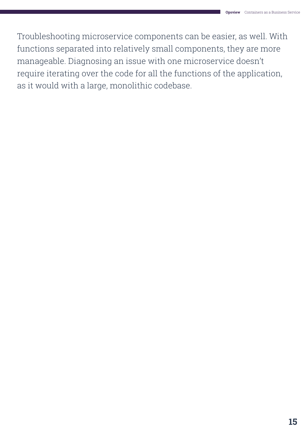Troubleshooting microservice components can be easier, as well. With functions separated into relatively small components, they are more manageable. Diagnosing an issue with one microservice doesn't require iterating over the code for all the functions of the application, as it would with a large, monolithic codebase.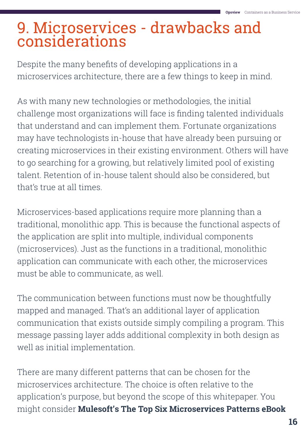#### 9. Microservices - drawbacks and considerations

Despite the many benefits of developing applications in a microservices architecture, there are a few things to keep in mind.

As with many new technologies or methodologies, the initial challenge most organizations will face is finding talented individuals that understand and can implement them. Fortunate organizations may have technologists in-house that have already been pursuing or creating microservices in their existing environment. Others will have to go searching for a growing, but relatively limited pool of existing talent. Retention of in-house talent should also be considered, but that's true at all times.

Microservices-based applications require more planning than a traditional, monolithic app. This is because the functional aspects of the application are split into multiple, individual components (microservices). Just as the functions in a traditional, monolithic application can communicate with each other, the microservices must be able to communicate, as well.

The communication between functions must now be thoughtfully mapped and managed. That's an additional layer of application communication that exists outside simply compiling a program. This message passing layer adds additional complexity in both design as well as initial implementation.

There are many different patterns that can be chosen for the microservices architecture. The choice is often relative to the application's purpose, but beyond the scope of this whitepaper. You might consider **[Mulesoft's The Top Six Microservices Patterns eBook](https://www.mulesoft.com/lp/whitepaper/api/top-microservices-patterns)**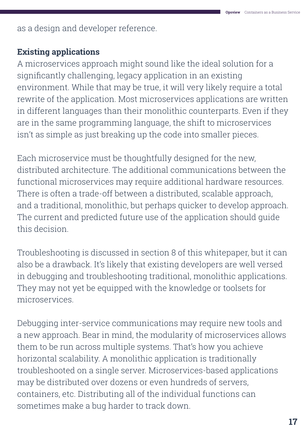as a design and developer reference.

#### **Existing applications**

A microservices approach might sound like the ideal solution for a significantly challenging, legacy application in an existing environment. While that may be true, it will very likely require a total rewrite of the application. Most microservices applications are written in different languages than their monolithic counterparts. Even if they are in the same programming language, the shift to microservices isn't as simple as just breaking up the code into smaller pieces.

Each microservice must be thoughtfully designed for the new, distributed architecture. The additional communications between the functional microservices may require additional hardware resources. There is often a trade-off between a distributed, scalable approach, and a traditional, monolithic, but perhaps quicker to develop approach. The current and predicted future use of the application should guide this decision.

Troubleshooting is discussed in section 8 of this whitepaper, but it can also be a drawback. It's likely that existing developers are well versed in debugging and troubleshooting traditional, monolithic applications. They may not yet be equipped with the knowledge or toolsets for microservices.

Debugging inter-service communications may require new tools and a new approach. Bear in mind, the modularity of microservices allows them to be run across multiple systems. That's how you achieve horizontal scalability. A monolithic application is traditionally troubleshooted on a single server. Microservices-based applications may be distributed over dozens or even hundreds of servers, containers, etc. Distributing all of the individual functions can sometimes make a bug harder to track down.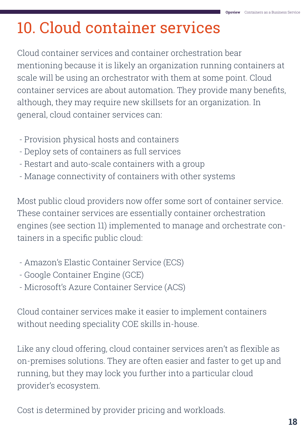# 10. Cloud container services

Cloud container services and container orchestration bear mentioning because it is likely an organization running containers at scale will be using an orchestrator with them at some point. Cloud container services are about automation. They provide many benefits, although, they may require new skillsets for an organization. In general, cloud container services can:

- Provision physical hosts and containers
- Deploy sets of containers as full services
- Restart and auto-scale containers with a group
- Manage connectivity of containers with other systems

Most public cloud providers now offer some sort of container service. These container services are essentially container orchestration engines (see section 11) implemented to manage and orchestrate containers in a specific public cloud:

- Amazon's Elastic Container Service (ECS)
- Google Container Engine (GCE)
- Microsoft's Azure Container Service (ACS)

Cloud container services make it easier to implement containers without needing speciality COE skills in-house.

Like any cloud offering, cloud container services aren't as flexible as on-premises solutions. They are often easier and faster to get up and running, but they may lock you further into a particular cloud provider's ecosystem.

Cost is determined by provider pricing and workloads.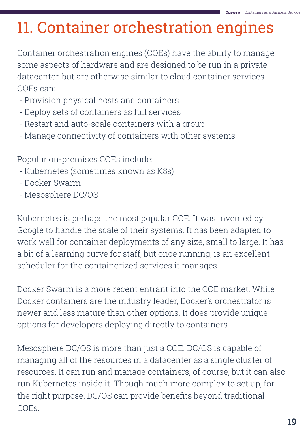# 11. Container orchestration engines

Container orchestration engines (COEs) have the ability to manage some aspects of hardware and are designed to be run in a private datacenter, but are otherwise similar to cloud container services. COEs can:

- Provision physical hosts and containers
- Deploy sets of containers as full services
- Restart and auto-scale containers with a group
- Manage connectivity of containers with other systems

Popular on-premises COEs include:

- Kubernetes (sometimes known as K8s)
- Docker Swarm
- Mesosphere DC/OS

Kubernetes is perhaps the most popular COE. It was invented by Google to handle the scale of their systems. It has been adapted to work well for container deployments of any size, small to large. It has a bit of a learning curve for staff, but once running, is an excellent scheduler for the containerized services it manages.

Docker Swarm is a more recent entrant into the COE market. While Docker containers are the industry leader, Docker's orchestrator is newer and less mature than other options. It does provide unique options for developers deploying directly to containers.

Mesosphere DC/OS is more than just a COE. DC/OS is capable of managing all of the resources in a datacenter as a single cluster of resources. It can run and manage containers, of course, but it can also run Kubernetes inside it. Though much more complex to set up, for the right purpose, DC/OS can provide benefits beyond traditional COEs.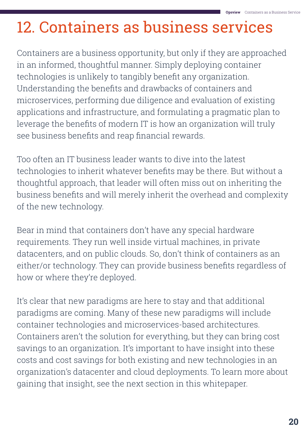# 12. Containers as business services

Containers are a business opportunity, but only if they are approached in an informed, thoughtful manner. Simply deploying container technologies is unlikely to tangibly benefit any organization. Understanding the benefits and drawbacks of containers and microservices, performing due diligence and evaluation of existing applications and infrastructure, and formulating a pragmatic plan to leverage the benefits of modern IT is how an organization will truly see business benefits and reap financial rewards.

Too often an IT business leader wants to dive into the latest technologies to inherit whatever benefits may be there. But without a thoughtful approach, that leader will often miss out on inheriting the business benefits and will merely inherit the overhead and complexity of the new technology.

Bear in mind that containers don't have any special hardware requirements. They run well inside virtual machines, in private datacenters, and on public clouds. So, don't think of containers as an either/or technology. They can provide business benefits regardless of how or where they're deployed.

It's clear that new paradigms are here to stay and that additional paradigms are coming. Many of these new paradigms will include container technologies and microservices-based architectures. Containers aren't the solution for everything, but they can bring cost savings to an organization. It's important to have insight into these costs and cost savings for both existing and new technologies in an organization's datacenter and cloud deployments. To learn more about gaining that insight, see the next section in this whitepaper.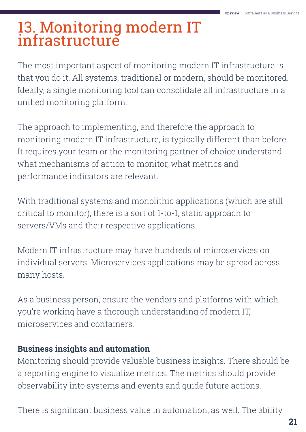#### 13. Monitoring modern IT infrastructure

The most important aspect of monitoring modern IT infrastructure is that you do it. All systems, traditional or modern, should be monitored. Ideally, a single monitoring tool can consolidate all infrastructure in a unified monitoring platform.

The approach to implementing, and therefore the approach to monitoring modern IT infrastructure, is typically different than before. It requires your team or the monitoring partner of choice understand what mechanisms of action to monitor, what metrics and performance indicators are relevant.

With traditional systems and monolithic applications (which are still critical to monitor), there is a sort of 1-to-1, static approach to servers/VMs and their respective applications.

Modern IT infrastructure may have hundreds of microservices on individual servers. Microservices applications may be spread across many hosts.

As a business person, ensure the vendors and platforms with which you're working have a thorough understanding of modern IT, microservices and containers.

#### **Business insights and automation**

Monitoring should provide valuable business insights. There should be a reporting engine to visualize metrics. The metrics should provide observability into systems and events and guide future actions.

There is significant business value in automation, as well. The ability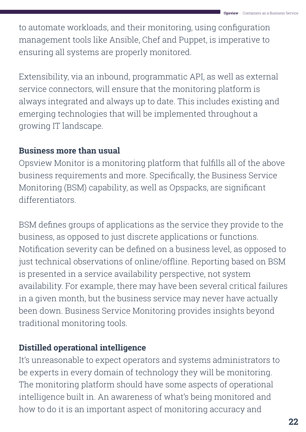to automate workloads, and their monitoring, using configuration management tools like Ansible, Chef and Puppet, is imperative to ensuring all systems are properly monitored.

Extensibility, via an inbound, programmatic API, as well as external service connectors, will ensure that the monitoring platform is always integrated and always up to date. This includes existing and emerging technologies that will be implemented throughout a growing IT landscape.

#### **Business more than usual**

Opsview Monitor is a monitoring platform that fulfills all of the above business requirements and more. Specifically, the Business Service Monitoring (BSM) capability, as well as Opspacks, are significant differentiators.

BSM defines groups of applications as the service they provide to the business, as opposed to just discrete applications or functions. Notification severity can be defined on a business level, as opposed to just technical observations of online/offline. Reporting based on BSM is presented in a service availability perspective, not system availability. For example, there may have been several critical failures in a given month, but the business service may never have actually been down. Business Service Monitoring provides insights beyond traditional monitoring tools.

#### **Distilled operational intelligence**

It's unreasonable to expect operators and systems administrators to be experts in every domain of technology they will be monitoring. The monitoring platform should have some aspects of operational intelligence built in. An awareness of what's being monitored and how to do it is an important aspect of monitoring accuracy and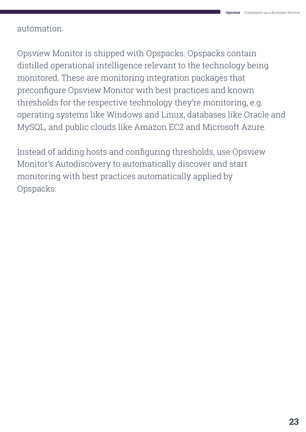automation.

Opsview Monitor is shipped with Opspacks. Opspacks contain distilled operational intelligence relevant to the technology being monitored. These are monitoring integration packages that preconfigure Opsview Monitor with best practices and known thresholds for the respective technology they're monitoring, e.g. operating systems like Windows and Linux, databases like Oracle and MySQL, and public clouds like Amazon EC2 and Microsoft Azure.

Instead of adding hosts and configuring thresholds, use Opsview Monitor's Autodiscovery to automatically discover and start monitoring with best practices automatically applied by Opspacks.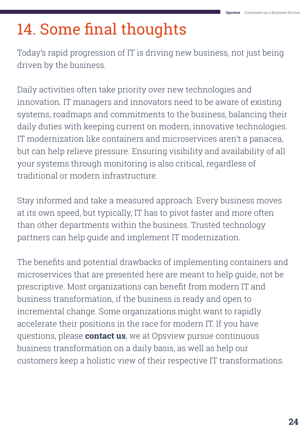### 14. Some final thoughts

Today's rapid progression of IT is driving new business, not just being driven by the business.

Daily activities often take priority over new technologies and innovation. IT managers and innovators need to be aware of existing systems, roadmaps and commitments to the business, balancing their daily duties with keeping current on modern, innovative technologies. IT modernization like containers and microservices aren't a panacea, but can help relieve pressure. Ensuring visibility and availability of all your systems through monitoring is also critical, regardless of traditional or modern infrastructure.

Stay informed and take a measured approach. Every business moves at its own speed, but typically, IT has to pivot faster and more often than other departments within the business. Trusted technology partners can help guide and implement IT modernization.

The benefits and potential drawbacks of implementing containers and microservices that are presented here are meant to help guide, not be prescriptive. Most organizations can benefit from modern IT and business transformation, if the business is ready and open to incremental change. Some organizations might want to rapidly accelerate their positions in the race for modern IT. If you have questions, please **[contact us](https://www.opsview.com/about-us/contact-us)**, we at Opsview pursue continuous business transformation on a daily basis, as well as help our customers keep a holistic view of their respective IT transformations.